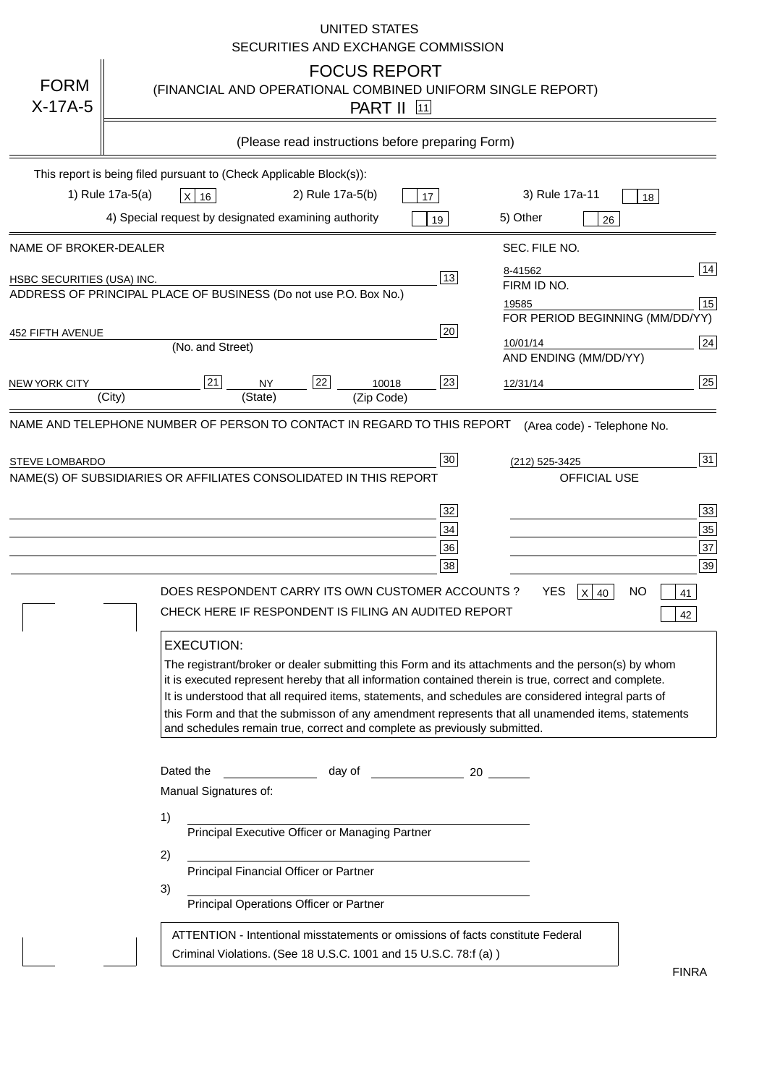|                                | UNITED STATES<br>SECURITIES AND EXCHANGE COMMISSION                                                                                                                                                                                                                                                                                                                                                                                                                                                                                                                                                                                                                                                                                                                                                                                                                                                       |                            |
|--------------------------------|-----------------------------------------------------------------------------------------------------------------------------------------------------------------------------------------------------------------------------------------------------------------------------------------------------------------------------------------------------------------------------------------------------------------------------------------------------------------------------------------------------------------------------------------------------------------------------------------------------------------------------------------------------------------------------------------------------------------------------------------------------------------------------------------------------------------------------------------------------------------------------------------------------------|----------------------------|
| <b>FORM</b><br>$X-17A-5$       | <b>FOCUS REPORT</b><br>(FINANCIAL AND OPERATIONAL COMBINED UNIFORM SINGLE REPORT)<br><b>PART II</b> 11                                                                                                                                                                                                                                                                                                                                                                                                                                                                                                                                                                                                                                                                                                                                                                                                    |                            |
|                                | (Please read instructions before preparing Form)                                                                                                                                                                                                                                                                                                                                                                                                                                                                                                                                                                                                                                                                                                                                                                                                                                                          |                            |
| 1) Rule 17a-5(a)               | This report is being filed pursuant to (Check Applicable Block(s)):<br>2) Rule 17a-5(b)<br>3) Rule 17a-11<br>$X$ 16<br>17<br>18<br>4) Special request by designated examining authority<br>5) Other<br>19                                                                                                                                                                                                                                                                                                                                                                                                                                                                                                                                                                                                                                                                                                 |                            |
| NAME OF BROKER-DEALER          | 26<br>SEC. FILE NO.                                                                                                                                                                                                                                                                                                                                                                                                                                                                                                                                                                                                                                                                                                                                                                                                                                                                                       |                            |
| HSBC SECURITIES (USA) INC.     | 8-41562<br>13<br>FIRM ID NO.<br>ADDRESS OF PRINCIPAL PLACE OF BUSINESS (Do not use P.O. Box No.)<br>19585<br>FOR PERIOD BEGINNING (MM/DD/YY)                                                                                                                                                                                                                                                                                                                                                                                                                                                                                                                                                                                                                                                                                                                                                              | 14<br>15                   |
| 452 FIFTH AVENUE               | 20<br>10/01/14<br>(No. and Street)<br>AND ENDING (MM/DD/YY)                                                                                                                                                                                                                                                                                                                                                                                                                                                                                                                                                                                                                                                                                                                                                                                                                                               | 24                         |
| <b>NEW YORK CITY</b><br>(City) | 23<br> 21 <br>22<br>10018<br><b>NY</b><br>12/31/14<br>(State)<br>(Zip Code)                                                                                                                                                                                                                                                                                                                                                                                                                                                                                                                                                                                                                                                                                                                                                                                                                               | 25                         |
| <b>STEVE LOMBARDO</b>          | 30 <sub>o</sub><br>(212) 525-3425<br>NAME(S) OF SUBSIDIARIES OR AFFILIATES CONSOLIDATED IN THIS REPORT<br>OFFICIAL USE<br>32<br>34<br>36<br>38<br><b>YES</b><br><b>NO</b><br>DOES RESPONDENT CARRY ITS OWN CUSTOMER ACCOUNTS ?<br>$X$ 40<br>41<br>CHECK HERE IF RESPONDENT IS FILING AN AUDITED REPORT<br>42<br><b>EXECUTION:</b>                                                                                                                                                                                                                                                                                                                                                                                                                                                                                                                                                                         | 31<br>33<br>35<br>37<br>39 |
|                                | The registrant/broker or dealer submitting this Form and its attachments and the person(s) by whom<br>it is executed represent hereby that all information contained therein is true, correct and complete.<br>It is understood that all required items, statements, and schedules are considered integral parts of<br>this Form and that the submisson of any amendment represents that all unamended items, statements<br>and schedules remain true, correct and complete as previously submitted.<br>Dated the<br>day of the contract and a contract a contract of the contract of the contract of the contract of the contract o<br>Manual Signatures of:<br>1)<br>Principal Executive Officer or Managing Partner<br>2)<br>Principal Financial Officer or Partner<br>3)<br>Principal Operations Officer or Partner<br>ATTENTION - Intentional misstatements or omissions of facts constitute Federal |                            |
|                                | Criminal Violations. (See 18 U.S.C. 1001 and 15 U.S.C. 78:f (a))<br><b>FINRA</b>                                                                                                                                                                                                                                                                                                                                                                                                                                                                                                                                                                                                                                                                                                                                                                                                                          |                            |

FINRA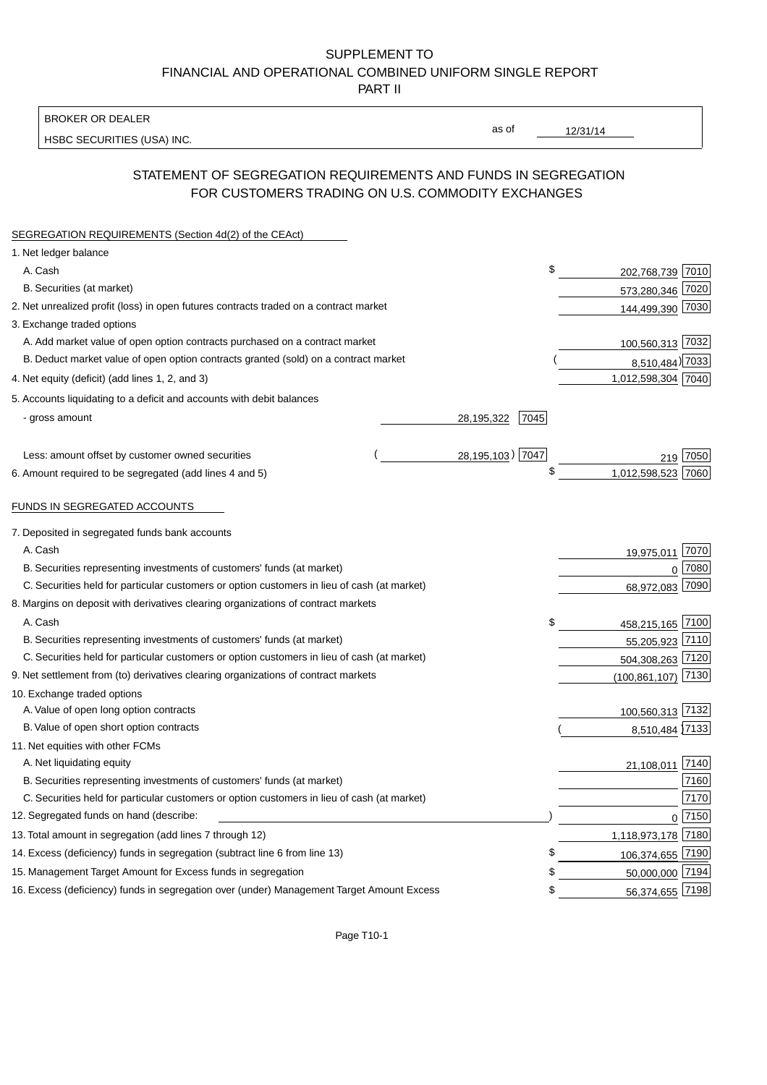## SUPPLEMENT TO FINANCIAL AND OPERATIONAL COMBINED UNIFORM SINGLE REPORT PART II

BROKER OR DEALER

HSBC SECURITIES (USA) INC.

 $12/31/14$ 

as of

## STATEMENT OF SEGREGATION REQUIREMENTS AND FUNDS IN SEGREGATION FOR CUSTOMERS TRADING ON U.S. COMMODITY EXCHANGES

| SEGREGATION REQUIREMENTS (Section 4d(2) of the CEAct)                                       |                    |                        |          |
|---------------------------------------------------------------------------------------------|--------------------|------------------------|----------|
| 1. Net ledger balance                                                                       |                    |                        |          |
| A. Cash                                                                                     |                    | \$<br>202,768,739 7010 |          |
| B. Securities (at market)                                                                   |                    | 573,280,346 7020       |          |
| 2. Net unrealized profit (loss) in open futures contracts traded on a contract market       |                    | 144,499,390 7030       |          |
| 3. Exchange traded options                                                                  |                    |                        |          |
| A. Add market value of open option contracts purchased on a contract market                 |                    | 100,560,313 7032       |          |
| B. Deduct market value of open option contracts granted (sold) on a contract market         |                    | 8,510,484) 7033        |          |
| 4. Net equity (deficit) (add lines 1, 2, and 3)                                             |                    | 1,012,598,304 7040     |          |
| 5. Accounts liquidating to a deficit and accounts with debit balances                       |                    |                        |          |
| - gross amount                                                                              | 7045<br>28,195,322 |                        |          |
|                                                                                             |                    |                        |          |
| Less: amount offset by customer owned securities                                            | 28,195,103) 7047   |                        | 7050     |
| 6. Amount required to be segregated (add lines 4 and 5)                                     |                    | \$<br>1,012,598,523    | 7060     |
| FUNDS IN SEGREGATED ACCOUNTS                                                                |                    |                        |          |
| 7. Deposited in segregated funds bank accounts                                              |                    |                        |          |
| A. Cash                                                                                     |                    | 19,975,011 7070        |          |
| B. Securities representing investments of customers' funds (at market)                      |                    | $\Omega$               | 7080     |
| C. Securities held for particular customers or option customers in lieu of cash (at market) |                    | 68,972,083 7090        |          |
| 8. Margins on deposit with derivatives clearing organizations of contract markets           |                    |                        |          |
| A. Cash                                                                                     |                    | \$<br>458,215,165 7100 |          |
| B. Securities representing investments of customers' funds (at market)                      |                    | 55,205,923 7110        |          |
| C. Securities held for particular customers or option customers in lieu of cash (at market) |                    | 504,308,263 7120       |          |
| 9. Net settlement from (to) derivatives clearing organizations of contract markets          |                    | (100, 861, 107)        | 7130     |
| 10. Exchange traded options                                                                 |                    |                        |          |
| A. Value of open long option contracts                                                      |                    | 100,560,313 7132       |          |
| B. Value of open short option contracts                                                     |                    | 8,510,484 7133         |          |
| 11. Net equities with other FCMs                                                            |                    |                        |          |
| A. Net liquidating equity                                                                   |                    | 21,108,011             | 7140     |
| B. Securities representing investments of customers' funds (at market)                      |                    |                        | 7160     |
| C. Securities held for particular customers or option customers in lieu of cash (at market) |                    |                        | 7170     |
| 12. Segregated funds on hand (describe:                                                     |                    |                        | $0$ 7150 |
| 13. Total amount in segregation (add lines 7 through 12)                                    |                    | 1,118,973,178 7180     |          |
| 14. Excess (deficiency) funds in segregation (subtract line 6 from line 13)                 |                    | \$<br>106,374,655 7190 |          |
| 15. Management Target Amount for Excess funds in segregation                                |                    | 50,000,000 7194<br>\$  |          |
| 16. Excess (deficiency) funds in segregation over (under) Management Target Amount Excess   |                    | 56,374,655 7198<br>\$  |          |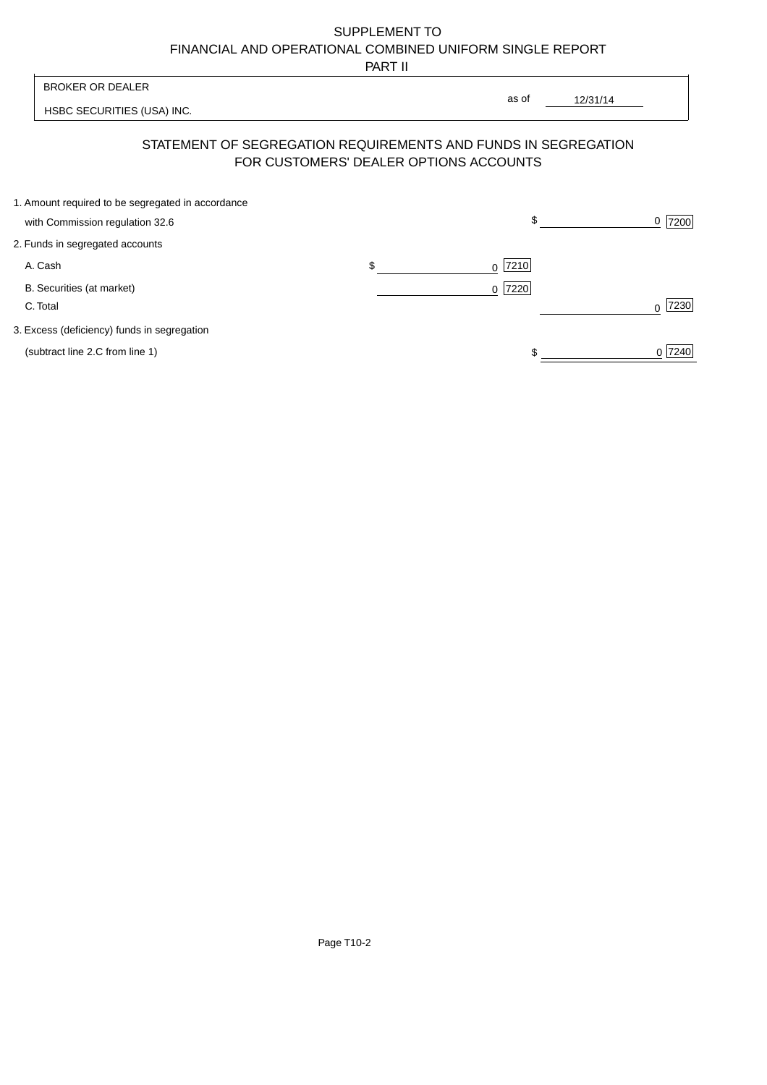# SUPPLEMENT TO FINANCIAL AND OPERATIONAL COMBINED UNIFORM SINGLE REPORT

PART II

 $\overline{1}$ 

| <b>BROKER OR DEALER</b>                                                                                  |         | as of |          |           |
|----------------------------------------------------------------------------------------------------------|---------|-------|----------|-----------|
| HSBC SECURITIES (USA) INC.                                                                               |         |       | 12/31/14 |           |
| STATEMENT OF SEGREGATION REQUIREMENTS AND FUNDS IN SEGREGATION<br>FOR CUSTOMERS' DEALER OPTIONS ACCOUNTS |         |       |          |           |
| 1. Amount required to be segregated in accordance<br>with Commission regulation 32.6                     |         | \$    |          | 7200<br>0 |
| 2. Funds in segregated accounts                                                                          |         |       |          |           |
| A. Cash                                                                                                  | \$<br>0 | 7210  |          |           |
| B. Securities (at market)<br>C. Total                                                                    | 0       | 7220  |          | 7230      |
| 3. Excess (deficiency) funds in segregation                                                              |         |       |          |           |
| (subtract line 2.C from line 1)                                                                          |         |       |          | 0 7240    |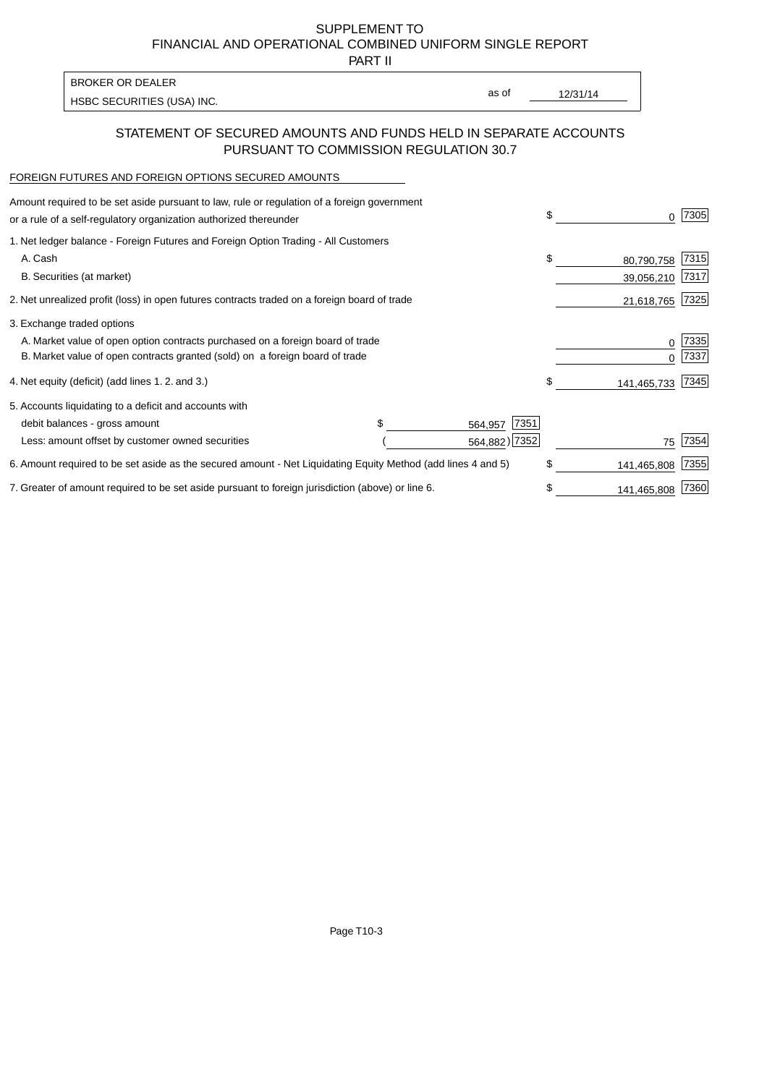SUPPLEMENT TO FINANCIAL AND OPERATIONAL COMBINED UNIFORM SINGLE REPORT

PART II

| HSBC SECURITIES (USA) INC. | BROKER OR DEALER |       |          |
|----------------------------|------------------|-------|----------|
|                            |                  | as of | 12/31/14 |

## STATEMENT OF SECURED AMOUNTS AND FUNDS HELD IN SEPARATE ACCOUNTS PURSUANT TO COMMISSION REGULATION 30.7

#### FOREIGN FUTURES AND FOREIGN OPTIONS SECURED AMOUNTS

| Amount required to be set aside pursuant to law, rule or regulation of a foreign government<br>or a rule of a self-regulatory organization authorized thereunder | \$              | O.          | 7305 |
|------------------------------------------------------------------------------------------------------------------------------------------------------------------|-----------------|-------------|------|
| 1. Net ledger balance - Foreign Futures and Foreign Option Trading - All Customers                                                                               |                 |             |      |
| A. Cash                                                                                                                                                          | \$              | 80,790,758  | 7315 |
| B. Securities (at market)                                                                                                                                        |                 | 39,056,210  | 7317 |
| 2. Net unrealized profit (loss) in open futures contracts traded on a foreign board of trade                                                                     |                 | 21,618,765  | 7325 |
| 3. Exchange traded options                                                                                                                                       |                 |             |      |
| A. Market value of open option contracts purchased on a foreign board of trade                                                                                   |                 | 0           | 7335 |
| B. Market value of open contracts granted (sold) on a foreign board of trade                                                                                     |                 |             | 7337 |
| 4. Net equity (deficit) (add lines 1. 2. and 3.)                                                                                                                 | \$              | 141,465,733 | 7345 |
| 5. Accounts liquidating to a deficit and accounts with                                                                                                           |                 |             |      |
| debit balances - gross amount                                                                                                                                    | 7351<br>564,957 |             |      |
| Less: amount offset by customer owned securities                                                                                                                 | 564,882) 7352   | 75          | 7354 |
| 6. Amount required to be set aside as the secured amount - Net Liquidating Equity Method (add lines 4 and 5)                                                     | \$              | 141,465,808 | 7355 |
| 7. Greater of amount required to be set aside pursuant to foreign jurisdiction (above) or line 6.                                                                | \$              | 141,465,808 | 7360 |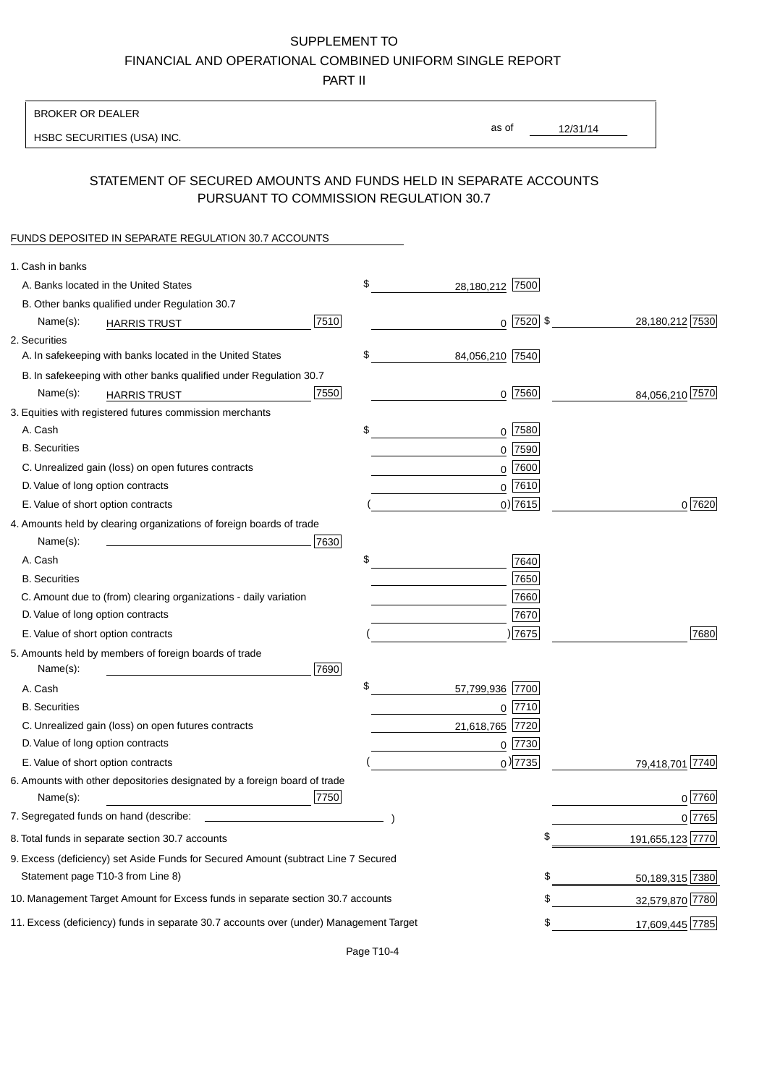# SUPPLEMENT TO

FINANCIAL AND OPERATIONAL COMBINED UNIFORM SINGLE REPORT

PART II

## BROKER OR DEALER

HSBC SECURITIES (USA) INC.

12/31/14 as of

## STATEMENT OF SECURED AMOUNTS AND FUNDS HELD IN SEPARATE ACCOUNTS PURSUANT TO COMMISSION REGULATION 30.7

#### FUNDS DEPOSITED IN SEPARATE REGULATION 30.7 ACCOUNTS

| \$<br>A. Banks located in the United States<br>28,180,212 7500<br>B. Other banks qualified under Regulation 30.7<br>$0$ 7520 \$<br>7510<br>Name(s):<br><b>HARRIS TRUST</b><br>2. Securities<br>\$<br>A. In safekeeping with banks located in the United States<br>84,056,210 7540<br>B. In safekeeping with other banks qualified under Regulation 30.7<br>7550<br>$0$ 7560<br>Name(s):<br><b>HARRIS TRUST</b><br>3. Equities with registered futures commission merchants<br>$0$ 7580<br>A. Cash<br>\$<br><b>B.</b> Securities<br>$0$ 7590<br>C. Unrealized gain (loss) on open futures contracts<br>$0$ 7600<br>$0^{7610}$<br>D. Value of long option contracts<br>0 7615 <br>E. Value of short option contracts<br>4. Amounts held by clearing organizations of foreign boards of trade<br>Name(s):<br>7630<br>\$<br>A. Cash<br>7640<br>7650<br><b>B.</b> Securities<br>C. Amount due to (from) clearing organizations - daily variation<br>7660<br>D. Value of long option contracts<br>7670<br>)7675<br>E. Value of short option contracts<br>5. Amounts held by members of foreign boards of trade<br>7690<br>Name(s):<br>\$<br>57,799,936<br>A. Cash<br>7700<br><b>B.</b> Securities<br>$0$  7710<br>C. Unrealized gain (loss) on open futures contracts<br>7720<br>21,618,765<br>D. Value of long option contracts<br>$0$ 7730<br>$_0$ ) 7735<br>E. Value of short option contracts<br>6. Amounts with other depositories designated by a foreign board of trade<br>7750<br>Name(s):<br>7. Segregated funds on hand (describe: _<br>8. Total funds in separate section 30.7 accounts<br>\$<br>9. Excess (deficiency) set Aside Funds for Secured Amount (subtract Line 7 Secured<br>\$<br>Statement page T10-3 from Line 8)<br>\$<br>10. Management Target Amount for Excess funds in separate section 30.7 accounts | 1. Cash in banks |  |                  |
|------------------------------------------------------------------------------------------------------------------------------------------------------------------------------------------------------------------------------------------------------------------------------------------------------------------------------------------------------------------------------------------------------------------------------------------------------------------------------------------------------------------------------------------------------------------------------------------------------------------------------------------------------------------------------------------------------------------------------------------------------------------------------------------------------------------------------------------------------------------------------------------------------------------------------------------------------------------------------------------------------------------------------------------------------------------------------------------------------------------------------------------------------------------------------------------------------------------------------------------------------------------------------------------------------------------------------------------------------------------------------------------------------------------------------------------------------------------------------------------------------------------------------------------------------------------------------------------------------------------------------------------------------------------------------------------------------------------------------------------------------------------------------------------------------------------------------|------------------|--|------------------|
|                                                                                                                                                                                                                                                                                                                                                                                                                                                                                                                                                                                                                                                                                                                                                                                                                                                                                                                                                                                                                                                                                                                                                                                                                                                                                                                                                                                                                                                                                                                                                                                                                                                                                                                                                                                                                              |                  |  |                  |
|                                                                                                                                                                                                                                                                                                                                                                                                                                                                                                                                                                                                                                                                                                                                                                                                                                                                                                                                                                                                                                                                                                                                                                                                                                                                                                                                                                                                                                                                                                                                                                                                                                                                                                                                                                                                                              |                  |  |                  |
|                                                                                                                                                                                                                                                                                                                                                                                                                                                                                                                                                                                                                                                                                                                                                                                                                                                                                                                                                                                                                                                                                                                                                                                                                                                                                                                                                                                                                                                                                                                                                                                                                                                                                                                                                                                                                              |                  |  | 28,180,212 7530  |
|                                                                                                                                                                                                                                                                                                                                                                                                                                                                                                                                                                                                                                                                                                                                                                                                                                                                                                                                                                                                                                                                                                                                                                                                                                                                                                                                                                                                                                                                                                                                                                                                                                                                                                                                                                                                                              |                  |  |                  |
|                                                                                                                                                                                                                                                                                                                                                                                                                                                                                                                                                                                                                                                                                                                                                                                                                                                                                                                                                                                                                                                                                                                                                                                                                                                                                                                                                                                                                                                                                                                                                                                                                                                                                                                                                                                                                              |                  |  |                  |
|                                                                                                                                                                                                                                                                                                                                                                                                                                                                                                                                                                                                                                                                                                                                                                                                                                                                                                                                                                                                                                                                                                                                                                                                                                                                                                                                                                                                                                                                                                                                                                                                                                                                                                                                                                                                                              |                  |  |                  |
|                                                                                                                                                                                                                                                                                                                                                                                                                                                                                                                                                                                                                                                                                                                                                                                                                                                                                                                                                                                                                                                                                                                                                                                                                                                                                                                                                                                                                                                                                                                                                                                                                                                                                                                                                                                                                              |                  |  | 84,056,210 7570  |
|                                                                                                                                                                                                                                                                                                                                                                                                                                                                                                                                                                                                                                                                                                                                                                                                                                                                                                                                                                                                                                                                                                                                                                                                                                                                                                                                                                                                                                                                                                                                                                                                                                                                                                                                                                                                                              |                  |  |                  |
|                                                                                                                                                                                                                                                                                                                                                                                                                                                                                                                                                                                                                                                                                                                                                                                                                                                                                                                                                                                                                                                                                                                                                                                                                                                                                                                                                                                                                                                                                                                                                                                                                                                                                                                                                                                                                              |                  |  |                  |
|                                                                                                                                                                                                                                                                                                                                                                                                                                                                                                                                                                                                                                                                                                                                                                                                                                                                                                                                                                                                                                                                                                                                                                                                                                                                                                                                                                                                                                                                                                                                                                                                                                                                                                                                                                                                                              |                  |  |                  |
|                                                                                                                                                                                                                                                                                                                                                                                                                                                                                                                                                                                                                                                                                                                                                                                                                                                                                                                                                                                                                                                                                                                                                                                                                                                                                                                                                                                                                                                                                                                                                                                                                                                                                                                                                                                                                              |                  |  |                  |
|                                                                                                                                                                                                                                                                                                                                                                                                                                                                                                                                                                                                                                                                                                                                                                                                                                                                                                                                                                                                                                                                                                                                                                                                                                                                                                                                                                                                                                                                                                                                                                                                                                                                                                                                                                                                                              |                  |  |                  |
|                                                                                                                                                                                                                                                                                                                                                                                                                                                                                                                                                                                                                                                                                                                                                                                                                                                                                                                                                                                                                                                                                                                                                                                                                                                                                                                                                                                                                                                                                                                                                                                                                                                                                                                                                                                                                              |                  |  | 0 7620           |
|                                                                                                                                                                                                                                                                                                                                                                                                                                                                                                                                                                                                                                                                                                                                                                                                                                                                                                                                                                                                                                                                                                                                                                                                                                                                                                                                                                                                                                                                                                                                                                                                                                                                                                                                                                                                                              |                  |  |                  |
|                                                                                                                                                                                                                                                                                                                                                                                                                                                                                                                                                                                                                                                                                                                                                                                                                                                                                                                                                                                                                                                                                                                                                                                                                                                                                                                                                                                                                                                                                                                                                                                                                                                                                                                                                                                                                              |                  |  |                  |
|                                                                                                                                                                                                                                                                                                                                                                                                                                                                                                                                                                                                                                                                                                                                                                                                                                                                                                                                                                                                                                                                                                                                                                                                                                                                                                                                                                                                                                                                                                                                                                                                                                                                                                                                                                                                                              |                  |  |                  |
|                                                                                                                                                                                                                                                                                                                                                                                                                                                                                                                                                                                                                                                                                                                                                                                                                                                                                                                                                                                                                                                                                                                                                                                                                                                                                                                                                                                                                                                                                                                                                                                                                                                                                                                                                                                                                              |                  |  |                  |
|                                                                                                                                                                                                                                                                                                                                                                                                                                                                                                                                                                                                                                                                                                                                                                                                                                                                                                                                                                                                                                                                                                                                                                                                                                                                                                                                                                                                                                                                                                                                                                                                                                                                                                                                                                                                                              |                  |  |                  |
|                                                                                                                                                                                                                                                                                                                                                                                                                                                                                                                                                                                                                                                                                                                                                                                                                                                                                                                                                                                                                                                                                                                                                                                                                                                                                                                                                                                                                                                                                                                                                                                                                                                                                                                                                                                                                              |                  |  |                  |
|                                                                                                                                                                                                                                                                                                                                                                                                                                                                                                                                                                                                                                                                                                                                                                                                                                                                                                                                                                                                                                                                                                                                                                                                                                                                                                                                                                                                                                                                                                                                                                                                                                                                                                                                                                                                                              |                  |  | 7680             |
|                                                                                                                                                                                                                                                                                                                                                                                                                                                                                                                                                                                                                                                                                                                                                                                                                                                                                                                                                                                                                                                                                                                                                                                                                                                                                                                                                                                                                                                                                                                                                                                                                                                                                                                                                                                                                              |                  |  |                  |
|                                                                                                                                                                                                                                                                                                                                                                                                                                                                                                                                                                                                                                                                                                                                                                                                                                                                                                                                                                                                                                                                                                                                                                                                                                                                                                                                                                                                                                                                                                                                                                                                                                                                                                                                                                                                                              |                  |  |                  |
|                                                                                                                                                                                                                                                                                                                                                                                                                                                                                                                                                                                                                                                                                                                                                                                                                                                                                                                                                                                                                                                                                                                                                                                                                                                                                                                                                                                                                                                                                                                                                                                                                                                                                                                                                                                                                              |                  |  |                  |
|                                                                                                                                                                                                                                                                                                                                                                                                                                                                                                                                                                                                                                                                                                                                                                                                                                                                                                                                                                                                                                                                                                                                                                                                                                                                                                                                                                                                                                                                                                                                                                                                                                                                                                                                                                                                                              |                  |  |                  |
|                                                                                                                                                                                                                                                                                                                                                                                                                                                                                                                                                                                                                                                                                                                                                                                                                                                                                                                                                                                                                                                                                                                                                                                                                                                                                                                                                                                                                                                                                                                                                                                                                                                                                                                                                                                                                              |                  |  |                  |
|                                                                                                                                                                                                                                                                                                                                                                                                                                                                                                                                                                                                                                                                                                                                                                                                                                                                                                                                                                                                                                                                                                                                                                                                                                                                                                                                                                                                                                                                                                                                                                                                                                                                                                                                                                                                                              |                  |  |                  |
|                                                                                                                                                                                                                                                                                                                                                                                                                                                                                                                                                                                                                                                                                                                                                                                                                                                                                                                                                                                                                                                                                                                                                                                                                                                                                                                                                                                                                                                                                                                                                                                                                                                                                                                                                                                                                              |                  |  | 79,418,701 7740  |
|                                                                                                                                                                                                                                                                                                                                                                                                                                                                                                                                                                                                                                                                                                                                                                                                                                                                                                                                                                                                                                                                                                                                                                                                                                                                                                                                                                                                                                                                                                                                                                                                                                                                                                                                                                                                                              |                  |  |                  |
|                                                                                                                                                                                                                                                                                                                                                                                                                                                                                                                                                                                                                                                                                                                                                                                                                                                                                                                                                                                                                                                                                                                                                                                                                                                                                                                                                                                                                                                                                                                                                                                                                                                                                                                                                                                                                              |                  |  | $0$ 7760         |
|                                                                                                                                                                                                                                                                                                                                                                                                                                                                                                                                                                                                                                                                                                                                                                                                                                                                                                                                                                                                                                                                                                                                                                                                                                                                                                                                                                                                                                                                                                                                                                                                                                                                                                                                                                                                                              |                  |  | $0$ 7765         |
|                                                                                                                                                                                                                                                                                                                                                                                                                                                                                                                                                                                                                                                                                                                                                                                                                                                                                                                                                                                                                                                                                                                                                                                                                                                                                                                                                                                                                                                                                                                                                                                                                                                                                                                                                                                                                              |                  |  | 191,655,123 7770 |
|                                                                                                                                                                                                                                                                                                                                                                                                                                                                                                                                                                                                                                                                                                                                                                                                                                                                                                                                                                                                                                                                                                                                                                                                                                                                                                                                                                                                                                                                                                                                                                                                                                                                                                                                                                                                                              |                  |  |                  |
|                                                                                                                                                                                                                                                                                                                                                                                                                                                                                                                                                                                                                                                                                                                                                                                                                                                                                                                                                                                                                                                                                                                                                                                                                                                                                                                                                                                                                                                                                                                                                                                                                                                                                                                                                                                                                              |                  |  | 50,189,315 7380  |
|                                                                                                                                                                                                                                                                                                                                                                                                                                                                                                                                                                                                                                                                                                                                                                                                                                                                                                                                                                                                                                                                                                                                                                                                                                                                                                                                                                                                                                                                                                                                                                                                                                                                                                                                                                                                                              |                  |  | 32,579,870 7780  |
| 11. Excess (deficiency) funds in separate 30.7 accounts over (under) Management Target<br>\$                                                                                                                                                                                                                                                                                                                                                                                                                                                                                                                                                                                                                                                                                                                                                                                                                                                                                                                                                                                                                                                                                                                                                                                                                                                                                                                                                                                                                                                                                                                                                                                                                                                                                                                                 |                  |  | 17,609,445 7785  |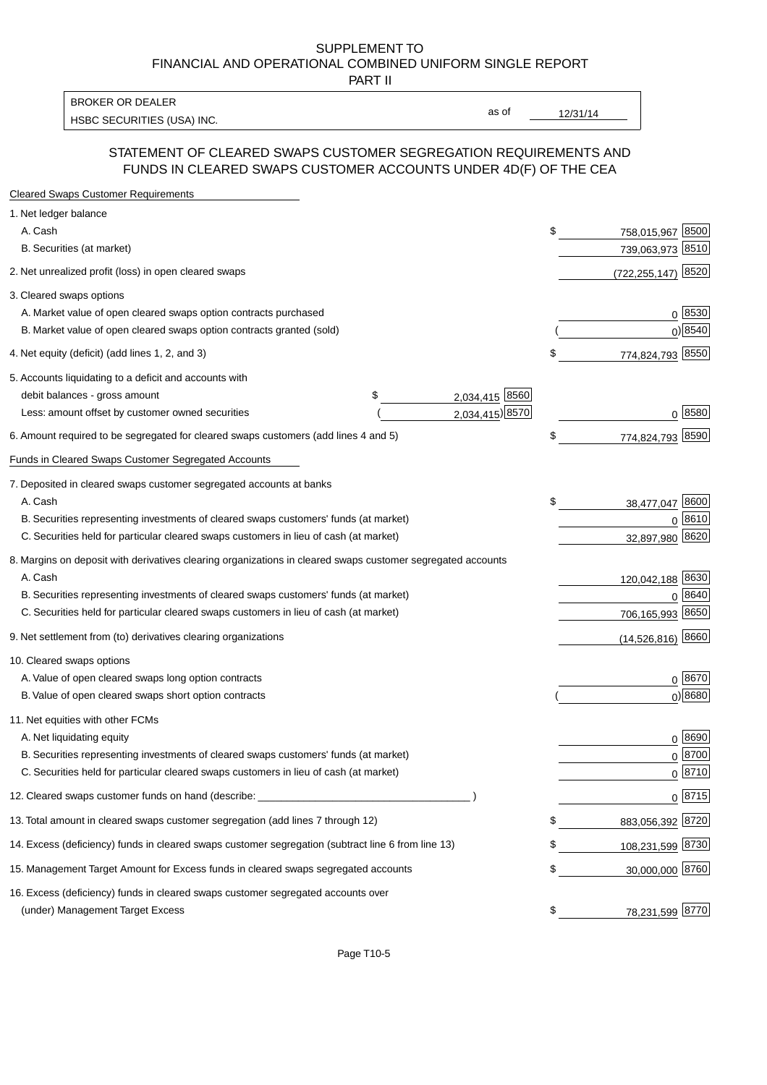#### SUPPLEMENT TO FINANCIAL AND OPERATIONAL COMBINED UNIFORM SINGLE REPORT PART II

HSBC SECURITIES (USA) INC. The state of the state of the state of the state of the state of the state of the state of the state of the state of the state of the state of the state of the state of the state of the state of BROKER OR DEALER

as of

### STATEMENT OF CLEARED SWAPS CUSTOMER SEGREGATION REQUIREMENTS AND FUNDS IN CLEARED SWAPS CUSTOMER ACCOUNTS UNDER 4D(F) OF THE CEA

| <b>Cleared Swaps Customer Requirements</b>                                                                  |                      |    |                         |
|-------------------------------------------------------------------------------------------------------------|----------------------|----|-------------------------|
| 1. Net ledger balance                                                                                       |                      |    |                         |
| A. Cash                                                                                                     |                      | \$ | 8500<br>758,015,967     |
| B. Securities (at market)                                                                                   |                      |    | 739,063,973<br>8510     |
| 2. Net unrealized profit (loss) in open cleared swaps                                                       |                      |    | 8520<br>(722, 255, 147) |
| 3. Cleared swaps options                                                                                    |                      |    |                         |
| A. Market value of open cleared swaps option contracts purchased                                            |                      |    | $0^{8530}$              |
| B. Market value of open cleared swaps option contracts granted (sold)                                       |                      |    | 0) 8540                 |
| 4. Net equity (deficit) (add lines 1, 2, and 3)                                                             |                      | \$ | 774,824,793 8550        |
| 5. Accounts liquidating to a deficit and accounts with                                                      |                      |    |                         |
| debit balances - gross amount                                                                               | 2,034,415 8560<br>\$ |    |                         |
| Less: amount offset by customer owned securities                                                            | 2,034,415) 8570      |    | 0 8580                  |
| 6. Amount required to be segregated for cleared swaps customers (add lines 4 and 5)                         |                      | \$ | 774,824,793 8590        |
| Funds in Cleared Swaps Customer Segregated Accounts                                                         |                      |    |                         |
| 7. Deposited in cleared swaps customer segregated accounts at banks                                         |                      |    |                         |
| A. Cash                                                                                                     |                      | \$ | 8600<br>38,477,047      |
| B. Securities representing investments of cleared swaps customers' funds (at market)                        |                      |    | 0 8610                  |
| C. Securities held for particular cleared swaps customers in lieu of cash (at market)                       |                      |    | 32,897,980 8620         |
| 8. Margins on deposit with derivatives clearing organizations in cleared swaps customer segregated accounts |                      |    |                         |
| A. Cash                                                                                                     |                      |    | 120,042,188 8630        |
| B. Securities representing investments of cleared swaps customers' funds (at market)                        |                      |    | 8640<br>0               |
| C. Securities held for particular cleared swaps customers in lieu of cash (at market)                       |                      |    | 706,165,993 8650        |
| 9. Net settlement from (to) derivatives clearing organizations                                              |                      |    | $(14,526,816)$ 8660     |
| 10. Cleared swaps options                                                                                   |                      |    |                         |
| A. Value of open cleared swaps long option contracts                                                        |                      |    | $0^{8670}$              |
| B. Value of open cleared swaps short option contracts                                                       |                      |    | $0$ ) 8680              |
| 11. Net equities with other FCMs                                                                            |                      |    |                         |
| A. Net liquidating equity                                                                                   |                      |    | $0^{8690}$              |
| B. Securities representing investments of cleared swaps customers' funds (at market)                        |                      |    | 0 8700                  |
| C. Securities held for particular cleared swaps customers in lieu of cash (at market)                       |                      |    | 0 8710                  |
| 12. Cleared swaps customer funds on hand (describe: _                                                       |                      |    | $0 \frac{8715}{ }$      |
| 13. Total amount in cleared swaps customer segregation (add lines 7 through 12)                             |                      | S  | 883,056,392 8720        |
| 14. Excess (deficiency) funds in cleared swaps customer segregation (subtract line 6 from line 13)          |                      |    | 108,231,599 8730        |
| 15. Management Target Amount for Excess funds in cleared swaps segregated accounts                          |                      | \$ | 30,000,000 8760         |
| 16. Excess (deficiency) funds in cleared swaps customer segregated accounts over                            |                      |    |                         |
| (under) Management Target Excess                                                                            |                      | \$ | 78,231,599 8770         |